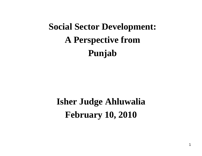# **Social Sector Development: A Perspective from Punjab**

**Isher Judge Ahluwalia February 10, 2010**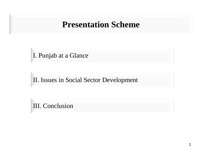### **Presentation Scheme**

I. Punjab at a Glance

II. Issues in Social Sector Development

III. Conclusion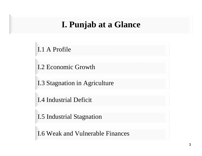### **I. Punjab at a Glance**

I.1 A Profile

I.2 Economic Growth

I.3 Stagnation in Agriculture

I.4 Industrial Deficit

I.5 Industrial Stagnation

I.6 Weak and Vulnerable Finances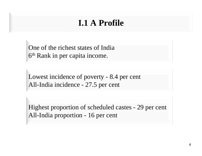### **I.1 A Profile**

One of the richest states of India 6th Rank in per capita income.

Lowest incidence of poverty - 8.4 per cent All-India incidence - 27.5 per cent

Highest proportion of scheduled castes - 29 per cent All-India proportion - 16 per cent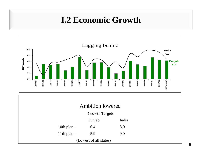### **I.2 Economic Growth**



| <b>Ambition lowered</b> |  |
|-------------------------|--|
|                         |  |
|                         |  |

Growth Targets

|               | Punjab | India |
|---------------|--------|-------|
| 10th plan $-$ | 6.4    | 8.0   |
| 11th plan $-$ | 5.9    | 9.0   |

(Lowest of all states)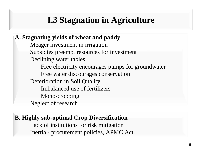### **I.3 Stagnation in Agriculture**

**A. Stagnating yields of wheat and paddy** Meager investment in irrigation Subsidies preempt resources for investment Declining water tables Free electricity encourages pumps for groundwater Free water discourages conservation Deterioration in Soil Quality Imbalanced use of fertilizersMono-cropping Neglect of research

#### **B. Highly sub-optimal Crop Diversification**

Lack of institutions for risk mitigation Inertia - procurement policies, APMC Act.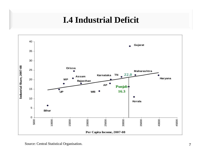### **I.4 Industrial Deficit**



Source: Central Statistical Organisation.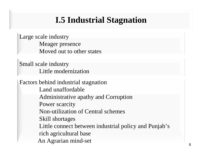# **I.5 Industrial Stagnation**

Large scale industry Meager presence Moved out to other states

Small scale industry Little modernization

Factors behind industrial stagnation Land unaffordableAdministrative apathy and Corruption Power scarcity Non-utilization of Central schemesSkill shortages Little connect between industrial policy and Punjab's rich agricultural base An Agrarian mind-set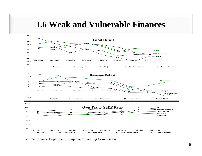### **I.6 Weak and Vulnerable Finances**



Source: Finance Department, Punjab and Planning Commission.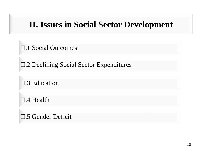### **II. Issues in Social Sector Development**

II.1 Social Outcomes

II.2 Declining Social Sector Expenditures

II.3 Education

II.4 Health

II.5 Gender Deficit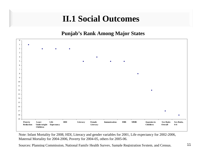# **II.1 Social Outcomes**

**Punjab's Rank Among Major States**



Note: Infant Mortality for 2008, HDI, Literacy and gender variables for 2001, Life expectancy for 2002-2006, Maternal Mortality for 2004-2006, Poverty for 2004-05, others for 2005-06.

Sources: Planning Commission, National Famil y Health Survey, Sa mple Re gistration S ystem, and Census.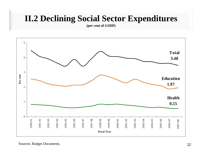### **II.2 Declining Social Sector Expenditures**

**(per cent of GSDP)**

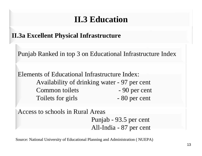### **II.3 Education**

**II.3a Excellent Physical Infrastructure**

Punjab Ranked in top 3 on Educational Infrastructure Index

Elements of Educational Infrastructure Index:Availability of drinking water - 97 per cent Common toilets - 90 per cent Toilets for girls - 80 per cent

Access to schools in Rural Areas Punjab - 93.5 per cent All-India - 87 per cent

Source: National University of Educational Planning and Administration ( NUEPA)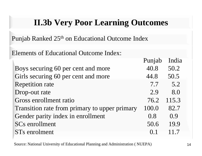### **II.3b Very Poor Learning Outcomes**

Punjab Ranked 25<sup>th</sup> on Educational Outcome Index

Elements of Educational Outcome Index:

| Punjao | muia  |
|--------|-------|
| 40.8   | 50.2  |
| 44.8   | 50.5  |
| 7.7    | 5.2   |
| 2.9    | 8.0   |
| 76.2   | 115.3 |
| 100.0  | 82.7  |
| 0.8    | 0.9   |
| 50.6   | 19.9  |
| (0.1)  | 117   |
|        |       |

Source: National University of Educational Planning and Administration ( NUEPA)

 $\mathbf{D}_{\text{total}} = \mathbf{L} \cdot \mathbf{L}$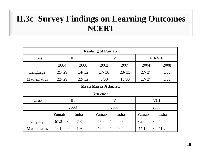### **II.3c Survey Findings on Learning Outcomes NCERT**

| <b>Ranking of Punjab</b>   |               |       |               |                         |                |       |  |
|----------------------------|---------------|-------|---------------|-------------------------|----------------|-------|--|
| Class                      | III           |       |               | $\overline{\mathsf{V}}$ | VII-VIII       |       |  |
|                            | 2004          | 2008  | 2002          | 2007                    | 2004           | 2008  |  |
| Language                   | 25/29         | 14/32 | 17/30         | 23/33                   | 27/27          | 5/32  |  |
| <b>Mathematics</b>         | 22/29         | 22/32 | 8/30          | 10/33                   | 17/27          | 8/32  |  |
| <b>Mean Marks Attained</b> |               |       |               |                         |                |       |  |
| (Percent)                  |               |       |               |                         |                |       |  |
| Class                      |               | III   | $\bf V$       |                         |                | VIII  |  |
|                            |               | 2008  |               | 2007                    |                | 2008  |  |
|                            | Punjab        | India | Punjab        | India                   | Punjab         | India |  |
| Language                   | 67.2<br>$\lt$ | 67.8  | 57.8<br>$\lt$ | 60.3                    | 62.0<br>$\geq$ | 56.7  |  |
| <b>Mathematics</b>         | 58.1<br>$\lt$ | 61.9  | 48.4<br>$\lt$ | 48.5                    | 44.1<br>$\geq$ | 41.2  |  |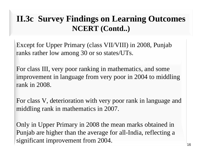### **II.3c Survey Findings on Learning Outcomes NCERT (Contd..)**

Except for Upper Primary (class VII/VIII) in 2008, Punjab ranks rather low among 30 or so states/UTs.

For class III, very poor ranking in mathematics, and some improvement in language from very poor in 2004 to middling rank in 2008.

For class V, deterioration with very poor rank in language and middling rank in mathematics in 2007.

Only in Upper Primary in 2008 the mean marks obtained in Punjab are higher than the average for all-India, reflecting a significant improvement from 2004.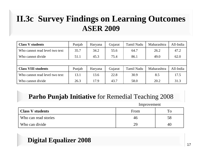### **II.3c Survey Findings on Learning Outcomes ASER 2009**

| <b>Class V students</b>        | Punjab | Haryana | Gujarat | <b>Tamil Nadu</b> | Maharashtra | All-India |
|--------------------------------|--------|---------|---------|-------------------|-------------|-----------|
| Who cannot read level two text | 35.7   | 34.2    | 55.6    | 64.7              | 26.2        | 47.2      |
| Who cannot divide              | 51.1   | 45.3    | 75.4    | 86.1              | 49.0        | 62.0      |
|                                |        |         |         |                   |             |           |
| <b>Class VIII students</b>     | Punjab | Haryana | Gujarat | <b>Tamil Nadu</b> | Maharashtra | All-India |
| Who cannot read level two text | 13.1   | 13.6    | 22.8    | 30.9              | 8.5         | 17.5      |
| Who cannot divide              | 26.3   | 17.9    | 43.7    | 58.0              | 20.2        | 31.3      |

#### **Parho Punjab Initiative** for Remedial Teaching 2008

Improvement

| <b>Class V students</b> | From | To |
|-------------------------|------|----|
| Who can read stories    | 46   | 58 |
| Who can divide          | 29   | 40 |

#### **Digital Equalizer 2008**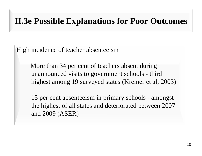### **II.3e Possible Explanations for Poor Outcomes**

High incidence of teacher absenteeism

More than 34 per cent of teachers absent during unannounced visits to government schools - third highest among 19 surveyed states (Kremer et al, 2003)

15 per cent absenteeism in primary schools - amongs<sup>t</sup> the highest of all states and deteriorated between 2007 and 2009 (ASER)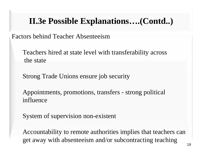# **II.3e Possible Explanations….(Contd..)**

Factors behind Teacher Absenteeism

Teachers hired at state level with transferability across the state

Strong Trade Unions ensure job security

Appointments, promotions, transfers - strong political influence

System of supervision non-existent

Accountability to remote authorities implies that teachers can get away with absenteeism and/or subcontracting teaching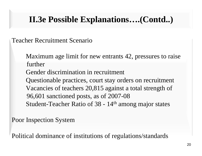# **II.3e Possible Explanations….(Contd..)**

Teacher Recruitment Scenario

Maximum age limit for new entrants 42, pressures to raise furtherGender discrimination in recruitment Questionable practices, court stay orders on recruitment Vacancies of teachers 20,815 against a total strength of 96,601 sanctioned posts, as of 2007-08 Student-Teacher Ratio of 38 - 14<sup>th</sup> among major states

Poor Inspection System

Political dominance of institutions of regulations/standards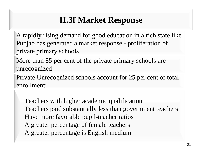# **II.3f Market Response**

A rapidly rising demand for good education in a rich state like Punjab has generated a market response - proliferation of private primary schools

More than 85 per cent of the private primary schools are unrecognized

Private Unrecognized schools account for 25 per cent of total enrollment:

Teachers with higher academic qualification Teachers paid substantially less than government teachers Have more favorable pupil-teacher ratios A greater percentage of female teachers A greater percentage is English medium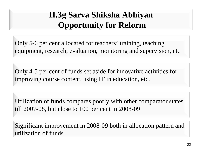# **II.3g Sarva Shiksha Abhiyan Opportunity for Reform**

Only 5-6 per cent allocated for teachers' training, teaching equipment, research, evaluation, monitoring and supervision, etc.

Only 4-5 per cent of funds set aside for innovative activities for improving course content, using IT in education, etc.

Utilization of funds compares poorly with other comparator states till 2007-08, but close to 100 per cent in 2008-09

Significant improvement in 2008-09 both in allocation pattern and utilization of funds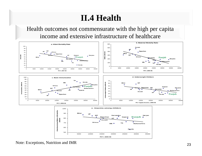# **II.4 Health**

Health outcomes not commensurate with the high per capita income and extensive infrastructure of healthcare



Note: Exceptions, Nutrition and IMR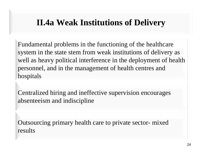### **II.4a Weak Institutions of Delivery**

Fundamental problems in the functioning of the healthcare system in the state stem from weak institutions of delivery as well as heavy political interference in the deployment of health personnel, and in the management of health centres and hospitals

Centralized hiring and ineffective supervision encourages absenteeism and indiscipline

Outsourcing primary health care to private sector- mixed results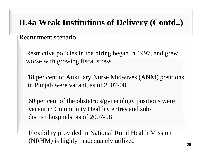#### **I**<br>**I**II (b). Healthcare of Dal **II.4a Weak Institutions of Delivery (Contd..)**

Recruitment scenario

Restrictive policies in the hiring began in 1997, and grew worse with growing fiscal stress

18 per cent of Auxiliary Nurse Midwives (ANM) positions in Punjab were vacant, as of 2007-08

60 per cent of the obstetrics/gynecology positions were vacant in Community Health Centres and subdistrict hospitals, as of 2007-08

Flexibility provided in National Rural Health Mission (NRHM) is highly inadequately utilized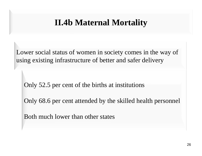### **II.4b Maternal Mortality**

Lower social status of women in society comes in the way of using existing infrastructure of better and safer delivery

Only 52.5 per cent of the births at institutions

Only 68.6 per cent attended by the skilled health personnel

Both much lower than other states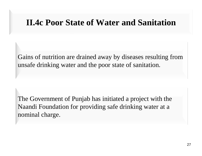### **II.4c Poor State of Water and Sanitation**

Gains of nutrition are drained away by diseases resulting from unsafe drinking water and the poor state of sanitation.

The Government of Punjab has initiated a project with the Naandi Foundation for providing safe drinking water at a nominal charge.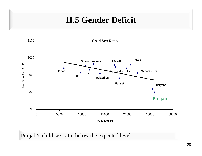# **II.5 Gender Deficit**



Punjab's child sex ratio below the expected level.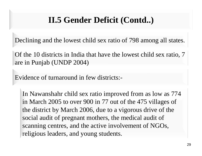### **II.5 Gender Deficit (Contd..)**

Declining and the lowest child sex ratio of 798 among all states.

Of the 10 districts in India that have the lowest child sex ratio, 7 are in Punjab (UNDP 2004)

Evidence of turnaround in few districts:-

In Nawanshahr child sex ratio improved from as low as 774 in March 2005 to over 900 in 77 out of the 475 villages of the district by March 2006, due to a vigorous drive of the social audit of pregnant mothers, the medical audit of scanning centres, and the active involvement of NGOs, religious leaders, and young students.